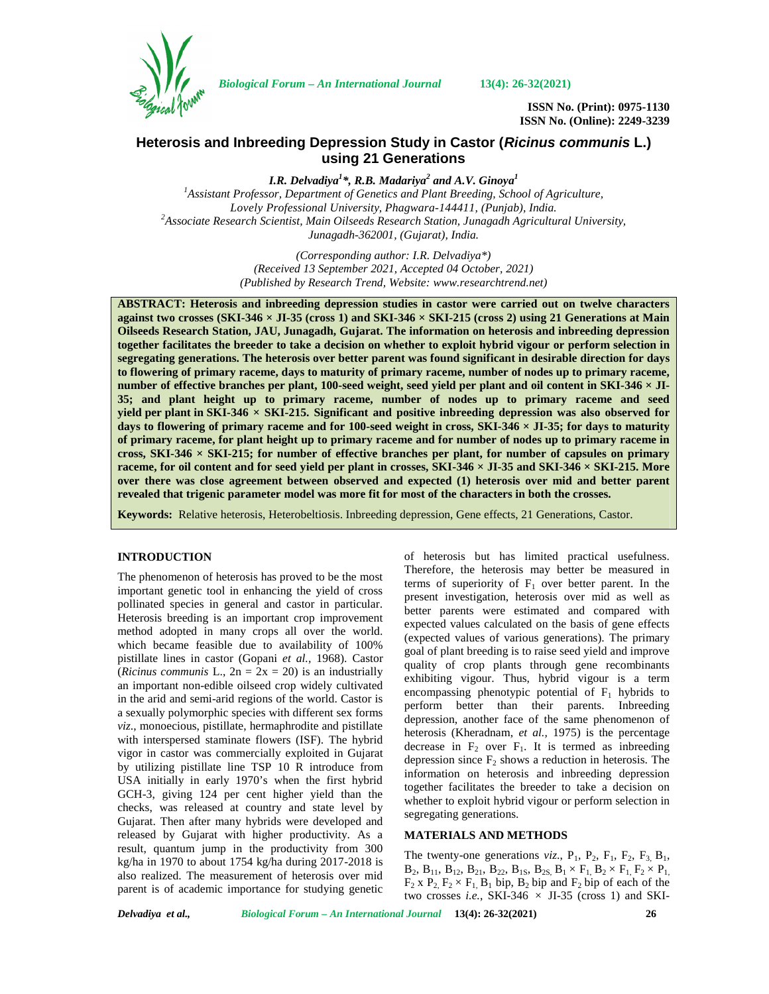

*Biological Forum – An International Journal* **13(4): 26-32(2021)**

**ISSN No. (Print): 0975-1130 ISSN No. (Online): 2249-3239**

# **Heterosis and Inbreeding Depression Study in Castor (***Ricinus communis* **L.) using 21 Generations**

*I.R. Delvadiya<sup>1</sup>\*, R.B. Madariya<sup>2</sup> and A.V. Ginoya<sup>1</sup> <sup>1</sup>Assistant Professor, Department of Genetics and Plant Breeding, School of Agriculture,* Lovely Professional University, Phagwara-144411, (Punjab), India.<br><sup>2</sup> Associate Research Scientist, Main Oilseeds Research Station, Junagadh Agricultural University, *Junagadh-362001, (Gujarat), India.*

> *(Corresponding author: I.R. Delvadiya\*) (Received 13 September 2021, Accepted 04 October, 2021) (Published by Research Trend, Website: [www.researchtrend.net\)](www.researchtrend.net)*

**ABSTRACT: Heterosis and inbreeding depression studies in castor were carried out on twelve characters against two crosses (SKI-346 × JI-35 (cross 1) and SKI-346 × SKI-215 (cross 2) using 21 Generations at Main Oilseeds Research Station, JAU, Junagadh, Gujarat. The information on heterosis and inbreeding depression together facilitates the breeder to take a decision on whether to exploit hybrid vigour or perform selection in segregating generations. The heterosis over better parent was found significant in desirable direction for days to flowering of primary raceme, days to maturity of primary raceme, number of nodes up to primary raceme, number of effective branches per plant, 100-seed weight, seed yield per plant and oil content in SKI-346 × JI- 35; and plant height up to primary raceme, number of nodes up to primary raceme and seed yield per plant in SKI-346 × SKI-215. Significant and positive inbreeding depression was also observed for days to flowering of primary raceme and for 100-seed weight in cross, SKI-346 × JI-35; for days to maturity of primary raceme, for plant height up to primary raceme and for number of nodes up to primary raceme in cross, SKI-346 × SKI-215; for number of effective branches per plant, for number of capsules on primary raceme, for oil content and for seed yield per plant in crosses, SKI-346 × JI-35 and SKI-346 × SKI-215. More over there was close agreement between observed and expected (1) heterosis over mid and better parent revealed that trigenic parameter model was more fit for most of the characters in both the crosses.**

**Keywords:** Relative heterosis, Heterobeltiosis. Inbreeding depression, Gene effects, 21 Generations, Castor.

#### **INTRODUCTION**

The phenomenon of heterosis has proved to be the most important genetic tool in enhancing the yield of cross pollinated species in general and castor in particular. Heterosis breeding is an important crop improvement method adopted in many crops all over the world. which became feasible due to availability of 100% pistillate lines in castor (Gopani *et al.,* 1968). Castor (*Ricinus communis* L.,  $2n = 2x = 20$ ) is an industrially an important non-edible oilseed crop widely cultivated in the arid and semi-arid regions of the world. Castor is a sexually polymorphic species with different sex forms *viz*., monoecious, pistillate, hermaphrodite and pistillate with interspersed staminate flowers (ISF). The hybrid vigor in castor was commercially exploited in Gujarat by utilizing pistillate line TSP 10 R introduce from USA initially in early 1970's when the first hybrid GCH-3, giving 124 per cent higher yield than the checks, was released at country and state level by Gujarat. Then after many hybrids were developed and released by Gujarat with higher productivity. As a result, quantum jump in the productivity from 300 kg/ha in 1970 to about 1754 kg/ha during 2017-2018 is also realized. The measurement of heterosis over mid parent is of academic importance for studying genetic

of heterosis but has limited practical usefulness. Therefore, the heterosis may better be measured in terms of superiority of  $F_1$  over better parent. In the present investigation, heterosis over mid as well as better parents were estimated and compared with expected values calculated on the basis of gene effects (expected values of various generations). The primary goal of plant breeding is to raise seed yield and improve quality of crop plants through gene recombinants exhibiting vigour. Thus, hybrid vigour is a term encompassing phenotypic potential of  $F_1$  hybrids to perform better than their parents. Inbreeding depression, another face of the same phenomenon of heterosis (Kheradnam, *et al.,* 1975) is the percentage decrease in  $F_2$  over  $F_1$ . It is termed as inbreeding depression since  $F_2$  shows a reduction in heterosis. The information on heterosis and inbreeding depression together facilitates the breeder to take a decision on whether to exploit hybrid vigour or perform selection in segregating generations.

## **MATERIALS AND METHODS**

The twenty-one generations  $viz.$ ,  $P_1$ ,  $P_2$ ,  $F_1$ ,  $F_2$ ,  $F_3$ ,  $B_1$ ,  $B_2$ ,  $B_{11}$ ,  $B_{12}$ ,  $B_{21}$ ,  $B_{22}$ ,  $B_{1S}$ ,  $B_{2S}$ ,  $B_1 \times F_1$ ,  $B_2 \times F_1$ ,  $F_2 \times P_1$ ,  $F_2$  x  $P_2$ ,  $F_2 \times F_1$ ,  $B_1$  bip,  $B_2$  bip and  $F_2$  bip of each of the two crosses *i.e.*, SKI-346  $\times$  JI-35 (cross 1) and SKI-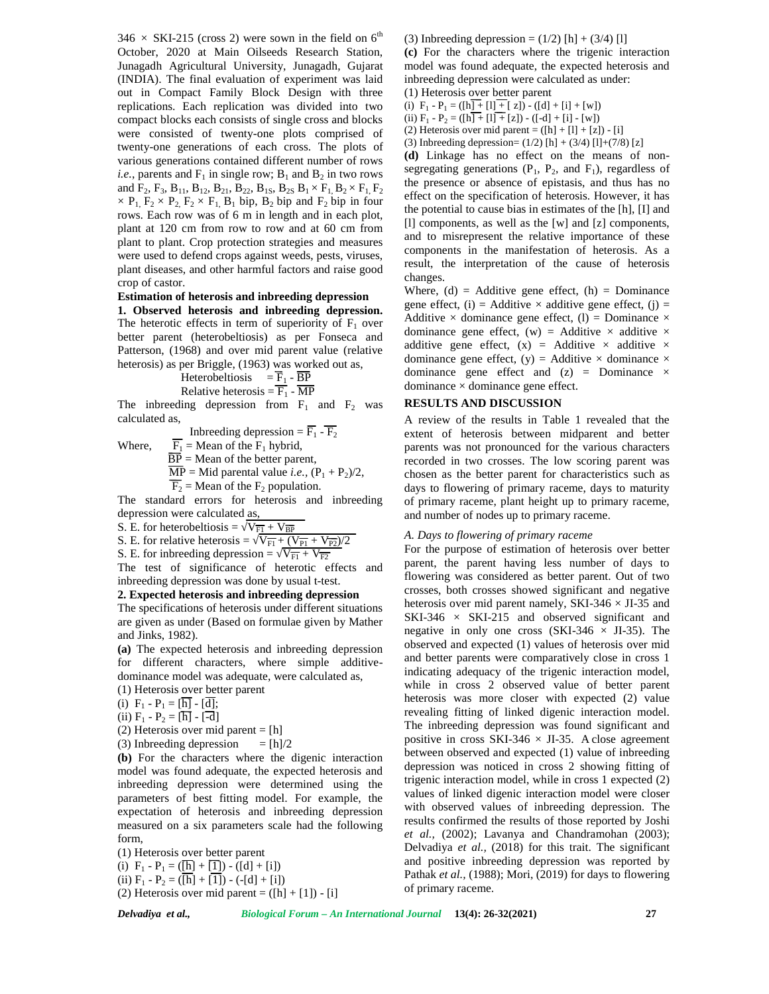$346 \times$  SKI-215 (cross 2) were sown in the field on 6<sup>th</sup> October, 2020 at Main Oilseeds Research Station, Junagadh Agricultural University, Junagadh, Gujarat (INDIA). The final evaluation of experiment was laid out in Compact Family Block Design with three replications. Each replication was divided into two compact blocks each consists of single cross and blocks were consisted of twenty-one plots comprised of twenty-one generations of each cross. The plots of various generations contained different number of rows *i.e.*, parents and  $F_1$  in single row;  $B_1$  and  $B_2$  in two rows and  $F_2$ ,  $F_3$ ,  $B_{11}$ ,  $B_{12}$ ,  $B_{21}$ ,  $B_{22}$ ,  $B_{1S}$ ,  $B_{2S}$   $B_1 \times F_1$ ,  $B_2 \times F_1$ ,  $F_2$  $\times$  P<sub>1</sub>, F<sub>2</sub>  $\times$  P<sub>2</sub>, F<sub>2</sub>  $\times$  F<sub>1</sub>, B<sub>1</sub> bip, B<sub>2</sub> bip and F<sub>2</sub> bip in four rows. Each row was of 6 m in length and in each plot, plant at 120 cm from row to row and at 60 cm from plant to plant. Crop protection strategies and measures were used to defend crops against weeds, pests, viruses, plant diseases, and other harmful factors and raise good crop of castor.

# **Estimation of heterosis and inbreeding depression**

**1. Observed heterosis and inbreeding depression.** The heterotic effects in term of superiority of  $F_1$  over better parent (heterobeltiosis) as per Fonseca and Patterson, (1968) and over mid parent value (relative heterosis) as per Briggle, (1963) was worked out as,

Heterobeltiosis 
$$
=\frac{\overline{F}_1}{F_1} - \frac{\overline{BP}}{MP}
$$
  
Relative heterosis  $=\frac{\overline{F}_1}{F_1} - \frac{\overline{MP}}{MP}$ 

The inbreeding depression from  $F_1$  and  $F_2$  was calculated as,

Inbreeding depression =  $\overline{F_1}$  -  $\overline{F_2}$ Where,  $\overline{F_1}$  = Mean of the  $F_1$  hybrid,

 $\overline{BP}$  = Mean of the better parent,

$$
\overline{MP}
$$
 = Mid parental value *i.e.*,  $(P_1 + P_2)/2$ ,

 $\overline{F_2}$  = Mean of the  $F_2$  population.

The standard errors for heterosis and inbreeding depression were calculated as,

S. E. for heterobeltiosis =  $\overline{V_{F1} + V_{BP}}$ 

S. E. for relative heterosis =  $\overline{V_{F1} + (V_{P1} + V_{P2})/2}$ 

S. E. for inbreeding depression =  $\overline{V_{F1} + V_{F2}}$ 

The test of significance of heterotic effects and inbreeding depression was done by usual t-test.

## **2. Expected heterosis and inbreeding depression**

The specifications of heterosis under different situations are given as under (Based on formulae given by Mather and Jinks, 1982).

**(a)** The expected heterosis and inbreeding depression for different characters, where simple additive dominance model was adequate, were calculated as,

(1) Heterosis over better parent

(i)  $F_1 - P_1 = [\overline{h}] - [\overline{d}];$ 

(ii)  $F_1 - P_2 = [\overline{h}] - [\overline{-d}]$ 

(2) Heterosis over mid parent = 
$$
[h]
$$

(3) Inbreeding depression  $=$  [h]/2

**(b)** For the characters where the digenic interaction model was found adequate, the expected heterosis and inbreeding depression were determined using the parameters of best fitting model. For example, the expectation of heterosis and inbreeding depression measured on a six parameters scale had the following form,

(1) Heterosis over better parent (i)  $F_1 - P_1 = (\overline{[h]} + \overline{[1]}) - ([d] + [i])$ (ii)  $F_1 - P_2 = (\overline{[h]} + \overline{[1]}) - (-[d] + [i])$ 

(2) Heterosis over mid parent =  $([h] + [1]) - [i]$ 

(3) Inbreeding depression =  $(1/2)$  [h] +  $(3/4)$  [l]

**(c)** For the characters where the trigenic interaction model was found adequate, the expected heterosis and inbreeding depression were calculated as under:

(1) Heterosis over better parent

(i)  $F_1 - P_1 = (\lfloor h \rfloor + \lfloor l \rfloor + \lfloor z \rfloor) - (\lfloor d \rfloor + \lfloor i \rfloor + \lfloor w \rfloor)$ 

(ii)  $F_1 - P_2 = (\lfloor h \rfloor + \lfloor 1 \rfloor + \lfloor z \rfloor) - (\lfloor -d \rfloor + \lfloor i \rfloor - \lfloor w \rfloor)$ 

(2) Heterosis over mid parent =  $([h] + [l] + [z]) - [i]$ (3) Inbreeding depression=  $(1/2)$  [h] +  $(3/4)$  [l]+ $(7/8)$  [z]

**(d)** Linkage has no effect on the means of non-

segregating generations  $(P_1, P_2, \text{ and } F_1)$ , regardless of the presence or absence of epistasis, and thus has no effect on the specification of heterosis. However, it has the potential to cause bias in estimates of the [h], [I] and [l] components, as well as the [w] and [z] components, and to misrepresent the relative importance of these components in the manifestation of heterosis. As a result, the interpretation of the cause of heterosis changes.

Where,  $(d)$  = Additive gene effect,  $(h)$  = Dominance gene effect, (i) = Additive  $\times$  additive gene effect, (j) = Additive  $\times$  dominance gene effect, (1) = Dominance  $\times$ dominance gene effect, (w) = Additive  $\times$  additive  $\times$ additive gene effect,  $(x)$  = Additive  $\times$  additive  $\times$ dominance gene effect, (y) = Additive  $\times$  dominance  $\times$ dominance gene effect and  $(z)$  = Dominance  $\times$  $dominance \times dominance gene effect.$ 

#### **RESULTS AND DISCUSSION**

A review of the results in Table 1 revealed that the extent of heterosis between midparent and better parents was not pronounced for the various characters recorded in two crosses. The low scoring parent was chosen as the better parent for characteristics such as days to flowering of primary raceme, days to maturity of primary raceme, plant height up to primary raceme, and number of nodes up to primary raceme.

## *A. Days to flowering of primary raceme*

For the purpose of estimation of heterosis over better parent, the parent having less number of days to flowering was considered as better parent. Out of two crosses, both crosses showed significant and negative heterosis over mid parent namely, SKI-346  $\times$  JI-35 and SKI-346  $\times$  SKI-215 and observed significant and negative in only one cross (SKI-346  $\times$  JI-35). The observed and expected (1) values of heterosis over mid and better parents were comparatively close in cross 1 indicating adequacy of the trigenic interaction model, while in cross 2 observed value of better parent heterosis was more closer with expected (2) value revealing fitting of linked digenic interaction model. The inbreeding depression was found significant and positive in cross SKI-346  $\times$  JI-35. A close agreement between observed and expected (1) value of inbreeding depression was noticed in cross 2 showing fitting of trigenic interaction model, while in cross 1 expected (2) values of linked digenic interaction model were closer with observed values of inbreeding depression. The results confirmed the results of those reported by Joshi *et al.,* (2002); Lavanya and Chandramohan (2003); Delvadiya *et al.,* (2018) for this trait. The significant and positive inbreeding depression was reported by Pathak *et al.*, (1988); Mori, (2019) for days to flowering of primary raceme.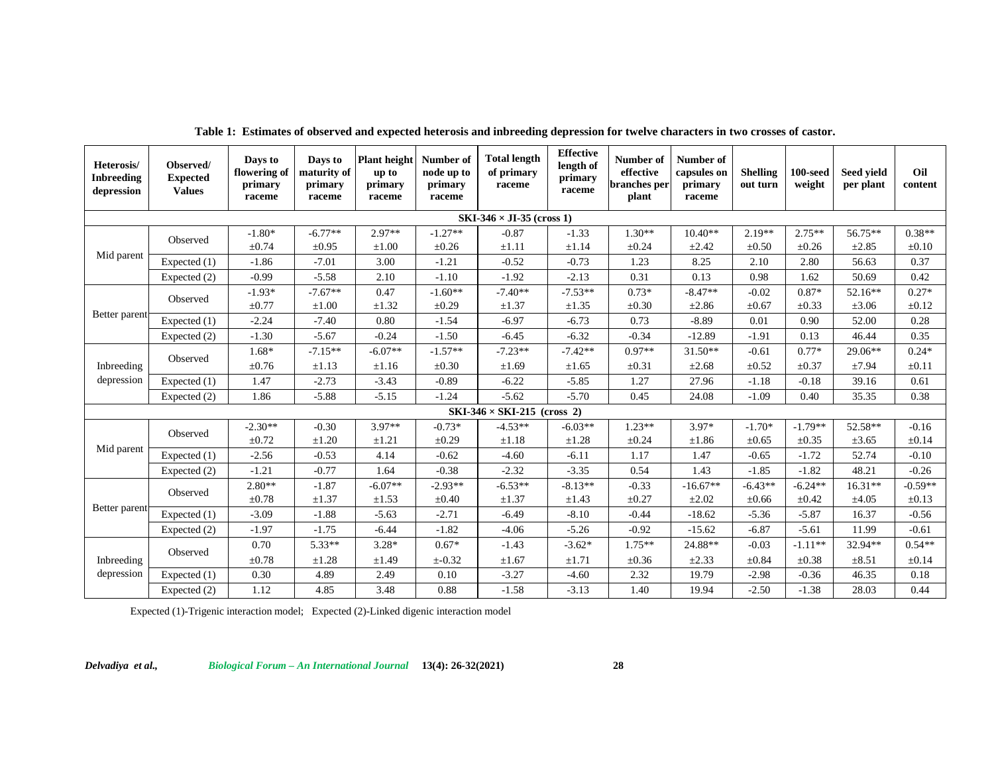| Heterosis/<br><b>Inbreeding</b><br>depression | Observed/<br><b>Expected</b><br><b>Values</b> | Days to<br>flowering of<br>primary<br>raceme | Days to<br>maturity of<br>primary<br>raceme | <b>Plant</b> height<br>up to<br>primary<br>raceme | Number of<br>node up to<br>primary<br>raceme | <b>Total length</b><br>of primary<br>raceme | <b>Effective</b><br>length of<br>primary<br>raceme | Number of<br>effective<br>branches per<br>plant | Number of<br>capsules on<br>primary<br>raceme | <b>Shelling</b><br>out turn | $100$ -seed<br>weight | Seed yield<br>per plant | Oil<br>content |
|-----------------------------------------------|-----------------------------------------------|----------------------------------------------|---------------------------------------------|---------------------------------------------------|----------------------------------------------|---------------------------------------------|----------------------------------------------------|-------------------------------------------------|-----------------------------------------------|-----------------------------|-----------------------|-------------------------|----------------|
|                                               |                                               |                                              |                                             |                                                   |                                              | $SKI-346 \times JI-35$ (cross 1)            |                                                    |                                                 |                                               |                             |                       |                         |                |
| Mid parent                                    | Observed                                      | $-1.80*$                                     | $-6.77**$                                   | $2.97**$                                          | $-1.27**$                                    | $-0.87$                                     | $-1.33$                                            | $1.30**$                                        | $10.40**$                                     | $2.19**$                    | $2.75**$              | 56.75**                 | $0.38**$       |
|                                               |                                               | $\pm 0.74$                                   | $\pm 0.95$                                  | $\pm 1.00$                                        | ±0.26                                        | $\pm 1.11$                                  | $\pm 1.14$                                         | $\pm 0.24$                                      | ±2.42                                         | $\pm 0.50$                  | $\pm 0.26$            | ±2.85                   | $\pm 0.10$     |
|                                               | Expected (1)                                  | $-1.86$                                      | $-7.01$                                     | 3.00                                              | $-1.21$                                      | $-0.52$                                     | $-0.73$                                            | 1.23                                            | 8.25                                          | 2.10                        | 2.80                  | 56.63                   | 0.37           |
|                                               | Expected (2)                                  | $-0.99$                                      | $-5.58$                                     | 2.10                                              | $-1.10$                                      | $-1.92$                                     | $-2.13$                                            | 0.31                                            | 0.13                                          | 0.98                        | 1.62                  | 50.69                   | 0.42           |
| Better parent                                 | Observed                                      | $-1.93*$                                     | $-7.67**$                                   | 0.47                                              | $-1.60**$                                    | $-7.40**$                                   | $-7.53**$                                          | $0.73*$                                         | $-8.47**$                                     | $-0.02$                     | $0.87*$               | 52.16**                 | $0.27*$        |
|                                               |                                               | $\pm 0.77$                                   | $\pm 1.00$                                  | $\pm 1.32$                                        | $\pm 0.29$                                   | $\pm 1.37$                                  | $\pm 1.35$                                         | $\pm 0.30$                                      | $\pm 2.86$                                    | $\pm 0.67$                  | $\pm 0.33$            | $\pm 3.06$              | $\pm 0.12$     |
|                                               | Expected (1)                                  | $-2.24$                                      | $-7.40$                                     | 0.80                                              | $-1.54$                                      | $-6.97$                                     | $-6.73$                                            | 0.73                                            | $-8.89$                                       | 0.01                        | 0.90                  | 52.00                   | 0.28           |
|                                               | Expected (2)                                  | $-1.30$                                      | $-5.67$                                     | $-0.24$                                           | $-1.50$                                      | $-6.45$                                     | $-6.32$                                            | $-0.34$                                         | $-12.89$                                      | $-1.91$                     | 0.13                  | 46.44                   | 0.35           |
| Inbreeding<br>depression                      | Observed                                      | $1.68*$                                      | $-7.15**$                                   | $-6.07**$                                         | $-1.57**$                                    | $-7.23**$                                   | $-7.42**$                                          | $0.97**$                                        | $31.50**$                                     | $-0.61$                     | $0.77*$               | 29.06**                 | $0.24*$        |
|                                               |                                               | $\pm 0.76$                                   | $\pm 1.13$                                  | $\pm 1.16$                                        | $\pm 0.30$                                   | ±1.69                                       | $\pm 1.65$                                         | $\pm 0.31$                                      | $\pm 2.68$                                    | $\pm 0.52$                  | $\pm 0.37$            | ±7.94                   | $\pm 0.11$     |
|                                               | Expected (1)                                  | 1.47                                         | $-2.73$                                     | $-3.43$                                           | $-0.89$                                      | $-6.22$                                     | $-5.85$                                            | 1.27                                            | 27.96                                         | $-1.18$                     | $-0.18$               | 39.16                   | 0.61           |
|                                               | Expected (2)                                  | 1.86                                         | $-5.88$                                     | $-5.15$                                           | $-1.24$                                      | $-5.62$                                     | $-5.70$                                            | 0.45                                            | 24.08                                         | $-1.09$                     | 0.40                  | 35.35                   | 0.38           |
|                                               |                                               |                                              |                                             |                                                   |                                              | $SKI-346 \times SKI-215$ (cross 2)          |                                                    |                                                 |                                               |                             |                       |                         |                |
| Mid parent                                    | Observed                                      | $-2.30**$                                    | $-0.30$                                     | $3.97**$                                          | $-0.73*$                                     | $-4.53**$                                   | $-6.03**$                                          | $1.23**$                                        | $3.97*$                                       | $-1.70*$                    | $-1.79**$             | 52.58**                 | $-0.16$        |
|                                               |                                               | $\pm 0.72$                                   | $\pm 1.20$                                  | $\pm 1.21$                                        | $\pm 0.29$                                   | $\pm 1.18$                                  | $\pm 1.28$                                         | $\pm 0.24$                                      | $\pm 1.86$                                    | $\pm 0.65$                  | $\pm 0.35$            | $\pm 3.65$              | $\pm 0.14$     |
|                                               | Expected (1)                                  | $-2.56$                                      | $-0.53$                                     | 4.14                                              | $-0.62$                                      | $-4.60$                                     | $-6.11$                                            | 1.17                                            | 1.47                                          | $-0.65$                     | $-1.72$               | 52.74                   | $-0.10$        |
|                                               | Expected (2)                                  | $-1.21$                                      | $-0.77$                                     | 1.64                                              | $-0.38$                                      | $-2.32$                                     | $-3.35$                                            | 0.54                                            | 1.43                                          | $-1.85$                     | $-1.82$               | 48.21                   | $-0.26$        |
| Better parent                                 | Observed                                      | $2.80**$                                     | $-1.87$                                     | $-6.07**$                                         | $-2.93**$                                    | $-6.53**$                                   | $-8.13**$                                          | $-0.33$                                         | $-16.67**$                                    | $-6.43**$                   | $-6.24**$             | 16.31**                 | $-0.59**$      |
|                                               |                                               | $\pm 0.78$                                   | $\pm 1.37$                                  | $\pm 1.53$                                        | $\pm 0.40$                                   | $\pm 1.37$                                  | $\pm 1.43$                                         | $\pm 0.27$                                      | $\pm 2.02$                                    | $\pm 0.66$                  | $\pm 0.42$            | $\pm 4.05$              | $\pm 0.13$     |
|                                               | Expected (1)                                  | $-3.09$                                      | $-1.88$                                     | $-5.63$                                           | $-2.71$                                      | $-6.49$                                     | $-8.10$                                            | $-0.44$                                         | $-18.62$                                      | $-5.36$                     | $-5.87$               | 16.37                   | $-0.56$        |
|                                               | Expected (2)                                  | $-1.97$                                      | $-1.75$                                     | $-6.44$                                           | $-1.82$                                      | $-4.06$                                     | $-5.26$                                            | $-0.92$                                         | $-15.62$                                      | $-6.87$                     | $-5.61$               | 11.99                   | $-0.61$        |
| Inbreeding<br>depression                      | Observed                                      | 0.70                                         | $5.33**$                                    | $3.28*$                                           | $0.67*$                                      | $-1.43$                                     | $-3.62*$                                           | $1.75**$                                        | 24.88**                                       | $-0.03$                     | $-1.11**$             | 32.94**                 | $0.54**$       |
|                                               |                                               | $\pm 0.78$                                   | $\pm 1.28$                                  | ±1.49                                             | $±-0.32$                                     | $\pm 1.67$                                  | $\pm 1.71$                                         | $\pm 0.36$                                      | $\pm 2.33$                                    | $\pm 0.84$                  | $\pm 0.38$            | $\pm 8.51$              | $\pm 0.14$     |
|                                               | Expected (1)                                  | 0.30                                         | 4.89                                        | 2.49                                              | 0.10                                         | $-3.27$                                     | $-4.60$                                            | 2.32                                            | 19.79                                         | $-2.98$                     | $-0.36$               | 46.35                   | 0.18           |
|                                               | Expected (2)                                  | 1.12                                         | 4.85                                        | 3.48                                              | 0.88                                         | $-1.58$                                     | $-3.13$                                            | 1.40                                            | 19.94                                         | $-2.50$                     | $-1.38$               | 28.03                   | 0.44           |

**Table 1: Estimates of observed and expected heterosis and inbreeding depression for twelve characters in two crosses of castor.**

Expected (1)-Trigenic interaction model; Expected (2)-Linked digenic interaction model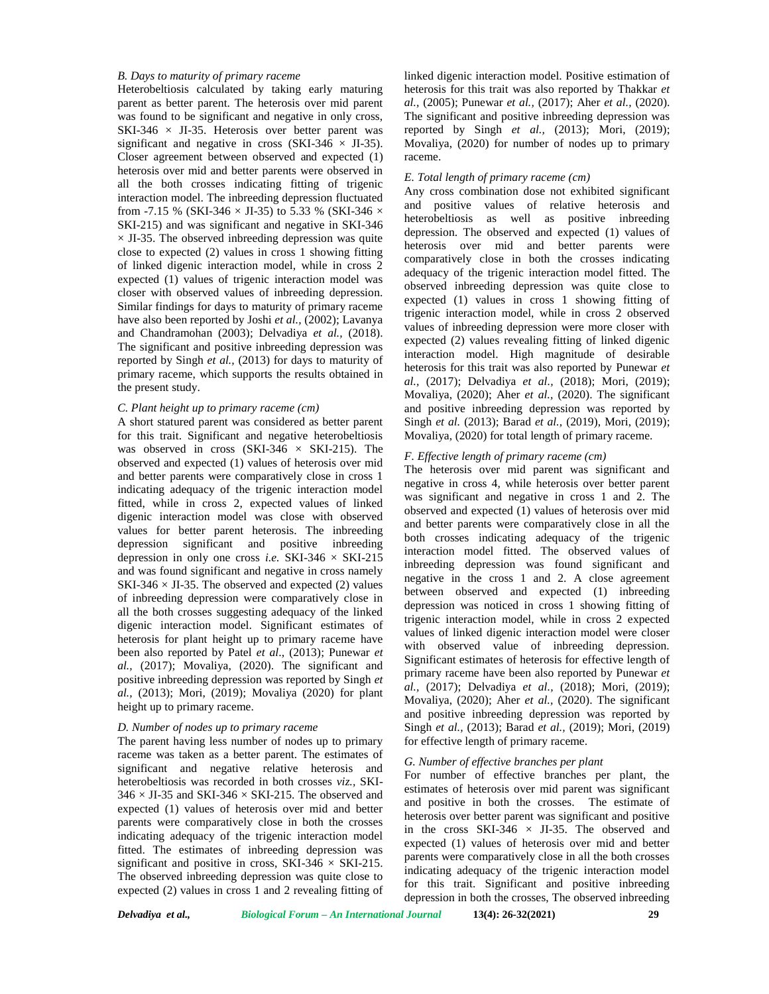## *B. Days to maturity of primary raceme*

Heterobeltiosis calculated by taking early maturing parent as better parent. The heterosis over mid parent was found to be significant and negative in only cross, SKI-346  $\times$  JI-35. Heterosis over better parent was significant and negative in cross (SKI-346  $\times$  JI-35). Closer agreement between observed and expected (1) heterosis over mid and better parents were observed in all the both crosses indicating fitting of trigenic interaction model. The inbreeding depression fluctuated from -7.15 % (SKI-346  $\times$  JI-35) to 5.33 % (SKI-346  $\times$ SKI-215) and was significant and negative in SKI-346  $\times$  JI-35. The observed inbreeding depression was quite close to expected (2) values in cross 1 showing fitting of linked digenic interaction model, while in cross 2 expected (1) values of trigenic interaction model was closer with observed values of inbreeding depression. Similar findings for days to maturity of primary raceme have also been reported by Joshi *et al.,* (2002); Lavanya and Chandramohan (2003); Delvadiya *et al.,* (2018). The significant and positive inbreeding depression was reported by Singh *et al.,* (2013) for days to maturity of primary raceme, which supports the results obtained in the present study.

## *C. Plant height up to primary raceme (cm)*

A short statured parent was considered as better parent for this trait. Significant and negative heterobeltiosis was observed in cross (SKI-346  $\times$  SKI-215). The observed and expected (1) values of heterosis over mid and better parents were comparatively close in cross 1 indicating adequacy of the trigenic interaction model fitted, while in cross 2, expected values of linked digenic interaction model was close with observed values for better parent heterosis. The inbreeding depression significant and positive inbreeding depression in only one cross *i.e.* SKI-346  $\times$  SKI-215 and was found significant and negative in cross namely SKI-346  $\times$  JI-35. The observed and expected (2) values of inbreeding depression were comparatively close in all the both crosses suggesting adequacy of the linked digenic interaction model. Significant estimates of heterosis for plant height up to primary raceme have been also reported by Patel *et al*., (2013); Punewar *et al.,* (2017); Movaliya, (2020). The significant and positive inbreeding depression was reported by Singh *et al.,* (2013); Mori, (2019); Movaliya (2020) for plant height up to primary raceme.

#### *D. Number of nodes up to primary raceme*

The parent having less number of nodes up to primary raceme was taken as a better parent. The estimates of significant and negative relative heterosis and heterobeltiosis was recorded in both crosses *viz.,* SKI-  $346 \times$  JI-35 and SKI-346  $\times$  SKI-215. The observed and expected (1) values of heterosis over mid and better parents were comparatively close in both the crosses indicating adequacy of the trigenic interaction model fitted. The estimates of inbreeding depression was significant and positive in cross, SKI-346  $\times$  SKI-215. The observed inbreeding depression was quite close to expected (2) values in cross 1 and 2 revealing fitting of

linked digenic interaction model. Positive estimation of heterosis for this trait was also reported by Thakkar *et al.,* (2005); Punewar *et al.,* (2017); Aher *et al.,* (2020). The significant and positive inbreeding depression was reported by Singh *et al.,* (2013); Mori, (2019); Movaliya, (2020) for number of nodes up to primary raceme.

#### *E. Total length of primary raceme (cm)*

Any cross combination dose not exhibited significant and positive values of relative heterosis and heterobeltiosis as well as positive inbreeding depression. The observed and expected (1) values of heterosis over mid and better parents were comparatively close in both the crosses indicating adequacy of the trigenic interaction model fitted. The observed inbreeding depression was quite close to expected (1) values in cross 1 showing fitting of trigenic interaction model, while in cross 2 observed values of inbreeding depression were more closer with expected (2) values revealing fitting of linked digenic interaction model. High magnitude of desirable heterosis for this trait was also reported by Punewar *et al.,* (2017); Delvadiya *et al.,* (2018); Mori, (2019); Movaliya, (2020); Aher *et al.,* (2020). The significant and positive inbreeding depression was reported by Singh *et al.* (2013); Barad *et al.,* (2019), Mori, (2019); Movaliya, (2020) for total length of primary raceme.

## *F. Effective length of primary raceme (cm)*

The heterosis over mid parent was significant and negative in cross 4, while heterosis over better parent was significant and negative in cross 1 and 2. The observed and expected (1) values of heterosis over mid and better parents were comparatively close in all the both crosses indicating adequacy of the trigenic interaction model fitted. The observed values of inbreeding depression was found significant and negative in the cross 1 and 2. A close agreement between observed and expected (1) inbreeding depression was noticed in cross 1 showing fitting of trigenic interaction model, while in cross 2 expected values of linked digenic interaction model were closer with observed value of inbreeding depression. Significant estimates of heterosis for effective length of primary raceme have been also reported by Punewar *et al.,* (2017); Delvadiya *et al.,* (2018); Mori, (2019); Movaliya, (2020); Aher *et al.,* (2020). The significant and positive inbreeding depression was reported by Singh *et al.,* (2013); Barad *et al.,* (2019); Mori, (2019) for effective length of primary raceme.

#### *G. Number of effective branches per plant*

For number of effective branches per plant, the estimates of heterosis over mid parent was significant and positive in both the crosses. The estimate of heterosis over better parent was significant and positive in the cross SKI-346  $\times$  JI-35. The observed and expected (1) values of heterosis over mid and better parents were comparatively close in all the both crosses indicating adequacy of the trigenic interaction model for this trait. Significant and positive inbreeding depression in both the crosses, The observed inbreeding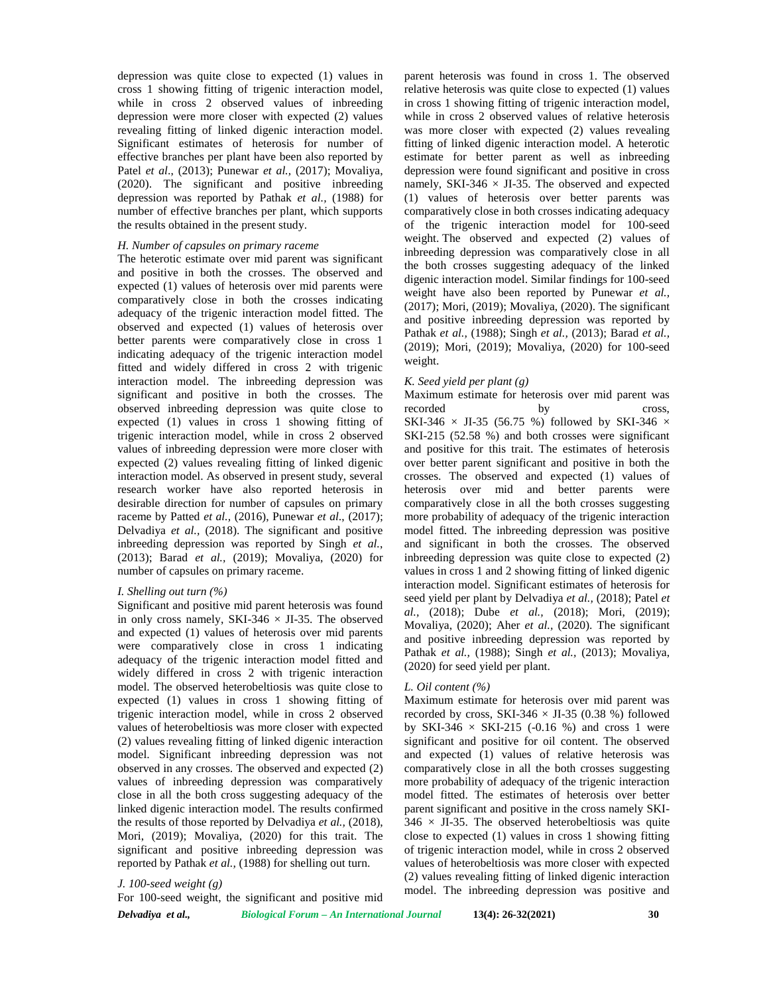depression was quite close to expected (1) values in cross 1 showing fitting of trigenic interaction model, while in cross 2 observed values of inbreeding depression were more closer with expected (2) values revealing fitting of linked digenic interaction model. Significant estimates of heterosis for number of effective branches per plant have been also reported by Patel *et al*., (2013); Punewar *et al.,* (2017); Movaliya, (2020). The significant and positive inbreeding depression was reported by Pathak *et al.,* (1988) for number of effective branches per plant, which supports the results obtained in the present study.

# *H. Number of capsules on primary raceme*

The heterotic estimate over mid parent was significant and positive in both the crosses. The observed and expected (1) values of heterosis over mid parents were comparatively close in both the crosses indicating adequacy of the trigenic interaction model fitted. The observed and expected (1) values of heterosis over better parents were comparatively close in cross 1 indicating adequacy of the trigenic interaction model fitted and widely differed in cross 2 with trigenic interaction model. The inbreeding depression was significant and positive in both the crosses. The observed inbreeding depression was quite close to expected (1) values in cross 1 showing fitting of trigenic interaction model, while in cross 2 observed values of inbreeding depression were more closer with expected (2) values revealing fitting of linked digenic interaction model. As observed in present study, several research worker have also reported heterosis in desirable direction for number of capsules on primary raceme by Patted *et al.,* (2016), Punewar *et al*., (2017); Delvadiya *et al.,* (2018). The significant and positive inbreeding depression was reported by Singh *et al.*, (2013); Barad *et al.,* (2019); Movaliya, (2020) for number of capsules on primary raceme.

#### *I. Shelling out turn (%)*

Significant and positive mid parent heterosis was found in only cross namely, SKI-346  $\times$  JI-35. The observed and expected (1) values of heterosis over mid parents were comparatively close in cross 1 indicating adequacy of the trigenic interaction model fitted and widely differed in cross 2 with trigenic interaction model. The observed heterobeltiosis was quite close to expected (1) values in cross 1 showing fitting of trigenic interaction model, while in cross 2 observed values of heterobeltiosis was more closer with expected (2) values revealing fitting of linked digenic interaction model. Significant inbreeding depression was not observed in any crosses. The observed and expected (2) values of inbreeding depression was comparatively close in all the both cross suggesting adequacy of the linked digenic interaction model. The results confirmed the results of those reported by Delvadiya *et al.,* (2018), Mori, (2019); Movaliya, (2020) for this trait. The significant and positive inbreeding depression was reported by Pathak *et al.,* (1988) for shelling out turn.

# *J. 100-seed weight (g)*

For 100-seed weight, the significant and positive mid

parent heterosis was found in cross 1. The observed relative heterosis was quite close to expected (1) values in cross 1 showing fitting of trigenic interaction model, while in cross 2 observed values of relative heterosis was more closer with expected (2) values revealing fitting of linked digenic interaction model. A heterotic estimate for better parent as well as inbreeding depression were found significant and positive in cross namely, SKI-346  $\times$  JI-35. The observed and expected (1) values of heterosis over better parents was comparatively close in both crosses indicating adequacy of the trigenic interaction model for 100-seed weight. The observed and expected (2) values of inbreeding depression was comparatively close in all the both crosses suggesting adequacy of the linked digenic interaction model. Similar findings for 100-seed weight have also been reported by Punewar *et al.,* (2017); Mori, (2019); Movaliya, (2020). The significant and positive inbreeding depression was reported by Pathak *et al.,* (1988); Singh *et al.,* (2013); Barad *et al.,* (2019); Mori, (2019); Movaliya, (2020) for 100-seed weight.

#### *K. Seed yield per plant (g)*

Maximum estimate for heterosis over mid parent was recorded by cross, SKI-346  $\times$  JI-35 (56.75 %) followed by SKI-346  $\times$ SKI-215 (52.58 %) and both crosses were significant and positive for this trait. The estimates of heterosis over better parent significant and positive in both the crosses. The observed and expected (1) values of heterosis over mid and better parents were comparatively close in all the both crosses suggesting more probability of adequacy of the trigenic interaction model fitted. The inbreeding depression was positive and significant in both the crosses. The observed inbreeding depression was quite close to expected (2) values in cross 1 and 2 showing fitting of linked digenic interaction model. Significant estimates of heterosis for seed yield per plant by Delvadiya *et al.,* (2018); Patel *et al.,* (2018); Dube *et al.,* (2018); Mori, (2019); Movaliya, (2020); Aher *et al.,* (2020). The significant and positive inbreeding depression was reported by Pathak *et al.,* (1988); Singh *et al.,* (2013); Movaliya, (2020) for seed yield per plant.

#### *L. Oil content (%)*

Maximum estimate for heterosis over mid parent was recorded by cross, SKI-346  $\times$  JI-35 (0.38 %) followed by SKI-346  $\times$  SKI-215 (-0.16 %) and cross 1 were significant and positive for oil content. The observed and expected (1) values of relative heterosis was comparatively close in all the both crosses suggesting more probability of adequacy of the trigenic interaction model fitted. The estimates of heterosis over better parent significant and positive in the cross namely SKI-  $346 \times$  JI-35. The observed heterobeltiosis was quite close to expected (1) values in cross 1 showing fitting of trigenic interaction model, while in cross 2 observed values of heterobeltiosis was more closer with expected (2) values revealing fitting of linked digenic interaction model. The inbreeding depression was positive and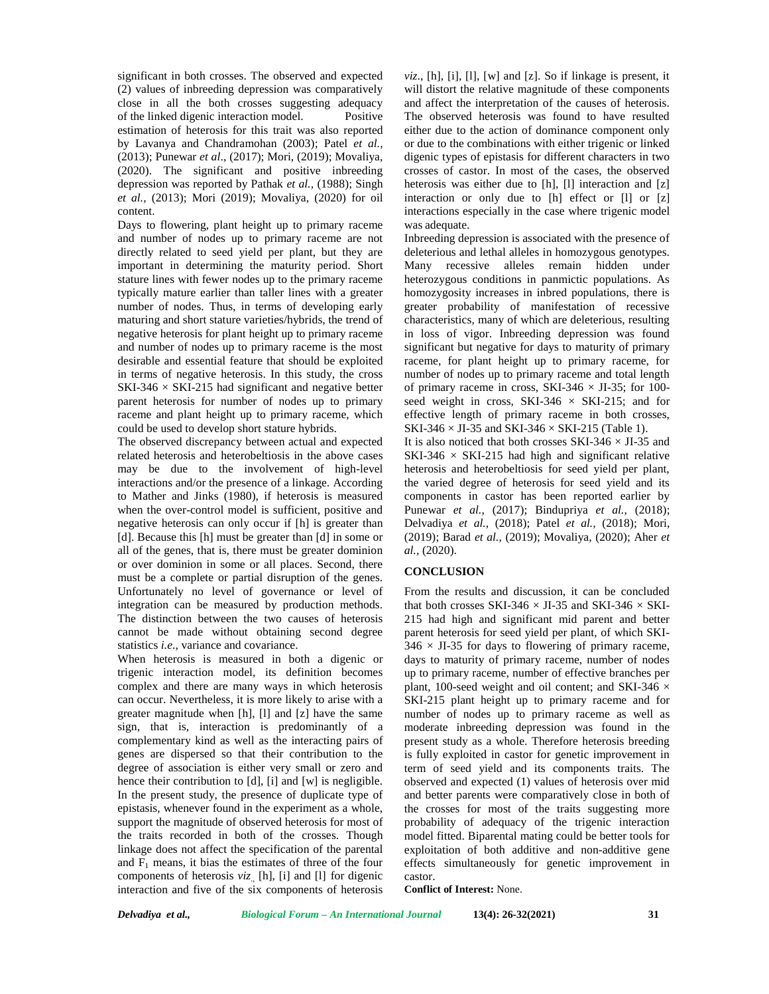significant in both crosses. The observed and expected (2) values of inbreeding depression was comparatively close in all the both crosses suggesting adequacy of the linked digenic interaction model. Positive estimation of heterosis for this trait was also reported by Lavanya and Chandramohan (2003); Patel *et al.,* (2013); Punewar *et al*., (2017); Mori, (2019); Movaliya, (2020). The significant and positive inbreeding depression was reported by Pathak *et al.,* (1988); Singh *et al.,* (2013); Mori (2019); Movaliya, (2020) for oil content.

Days to flowering, plant height up to primary raceme and number of nodes up to primary raceme are not directly related to seed yield per plant, but they are important in determining the maturity period. Short stature lines with fewer nodes up to the primary raceme typically mature earlier than taller lines with a greater number of nodes. Thus, in terms of developing early maturing and short stature varieties/hybrids, the trend of negative heterosis for plant height up to primary raceme and number of nodes up to primary raceme is the most desirable and essential feature that should be exploited in terms of negative heterosis. In this study, the cross  $SKI-346 \times SKI-215$  had significant and negative better parent heterosis for number of nodes up to primary raceme and plant height up to primary raceme, which could be used to develop short stature hybrids.

The observed discrepancy between actual and expected related heterosis and heterobeltiosis in the above cases may be due to the involvement of high-level interactions and/or the presence of a linkage. According to Mather and Jinks (1980), if heterosis is measured when the over-control model is sufficient, positive and negative heterosis can only occur if [h] is greater than [d]. Because this [h] must be greater than [d] in some or all of the genes, that is, there must be greater dominion or over dominion in some or all places. Second, there must be a complete or partial disruption of the genes. Unfortunately no level of governance or level of integration can be measured by production methods. The distinction between the two causes of heterosis cannot be made without obtaining second degree statistics *i.e*., variance and covariance.

When heterosis is measured in both a digenic or trigenic interaction model, its definition becomes complex and there are many ways in which heterosis can occur. Nevertheless, it is more likely to arise with a greater magnitude when [h], [l] and [z] have the same sign, that is, interaction is predominantly of a complementary kind as well as the interacting pairs of genes are dispersed so that their contribution to the degree of association is either very small or zero and hence their contribution to [d], [i] and [w] is negligible. In the present study, the presence of duplicate type of epistasis, whenever found in the experiment as a whole, support the magnitude of observed heterosis for most of the traits recorded in both of the crosses. Though linkage does not affect the specification of the parental and  $F_1$  means, it bias the estimates of three of the four components of heterosis *viz*., [h], [i] and [l] for digenic interaction and five of the six components of heterosis

 $viz., [h], [i], [l], [w]$  and  $[z]$ . So if linkage is present, it will distort the relative magnitude of these components and affect the interpretation of the causes of heterosis. The observed heterosis was found to have resulted either due to the action of dominance component only or due to the combinations with either trigenic or linked digenic types of epistasis for different characters in two crosses of castor. In most of the cases, the observed heterosis was either due to [h], [l] interaction and [z] interaction or only due to [h] effect or [l] or [z] interactions especially in the case where trigenic model was adequate.

Inbreeding depression is associated with the presence of deleterious and lethal alleles in homozygous genotypes. Many recessive alleles remain hidden under heterozygous conditions in panmictic populations. As homozygosity increases in inbred populations, there is greater probability of manifestation of recessive characteristics, many of which are deleterious, resulting in loss of vigor. Inbreeding depression was found significant but negative for days to maturity of primary raceme, for plant height up to primary raceme, for number of nodes up to primary raceme and total length of primary raceme in cross, SKI-346  $\times$  JI-35; for 100seed weight in cross, SKI-346  $\times$  SKI-215; and for effective length of primary raceme in both crosses, SKI-346  $\times$  JI-35 and SKI-346  $\times$  SKI-215 (Table 1).

It is also noticed that both crosses SKI-346  $\times$  JI-35 and SKI-346  $\times$  SKI-215 had high and significant relative heterosis and heterobeltiosis for seed yield per plant, the varied degree of heterosis for seed yield and its components in castor has been reported earlier by Punewar *et al.,* (2017); Bindupriya *et al.,* (2018); Delvadiya *et al.,* (2018); Patel *et al.,* (2018); Mori, (2019); Barad *et al.,* (2019); Movaliya, (2020); Aher *et al.,* (2020).

#### **CONCLUSION**

From the results and discussion, it can be concluded that both crosses SKI-346  $\times$  JI-35 and SKI-346  $\times$  SKI-215 had high and significant mid parent and better parent heterosis for seed yield per plant, of which SKI-  $346 \times$  JI-35 for days to flowering of primary raceme, days to maturity of primary raceme, number of nodes up to primary raceme, number of effective branches per plant, 100-seed weight and oil content; and SKI-346  $\times$ SKI-215 plant height up to primary raceme and for number of nodes up to primary raceme as well as moderate inbreeding depression was found in the present study as a whole. Therefore heterosis breeding is fully exploited in castor for genetic improvement in term of seed yield and its components traits. The observed and expected (1) values of heterosis over mid and better parents were comparatively close in both of the crosses for most of the traits suggesting more probability of adequacy of the trigenic interaction model fitted. Biparental mating could be better tools for exploitation of both additive and non-additive gene effects simultaneously for genetic improvement in castor.

**Conflict of Interest:** None.